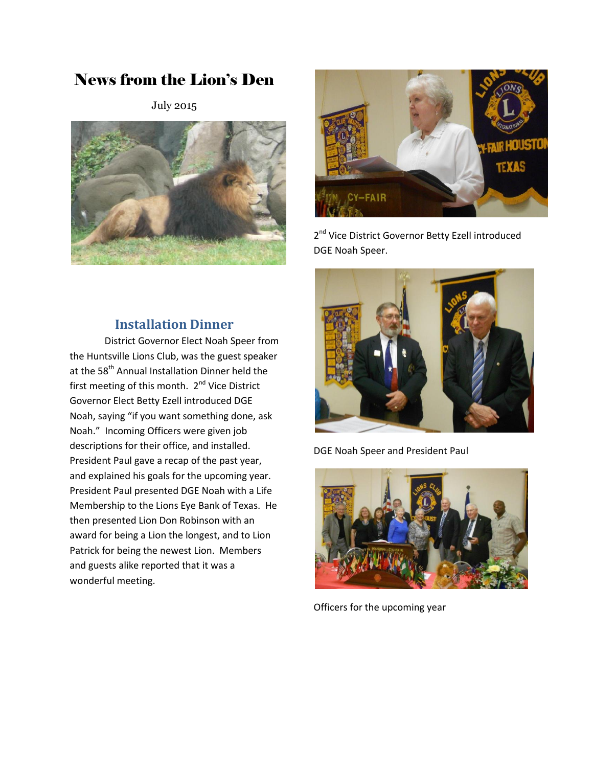# News from the Lion's Den

July 2015





2<sup>nd</sup> Vice District Governor Betty Ezell introduced DGE Noah Speer.

### **Installation Dinner**

District Governor Elect Noah Speer from the Huntsville Lions Club, was the guest speaker at the 58<sup>th</sup> Annual Installation Dinner held the first meeting of this month. 2<sup>nd</sup> Vice District Governor Elect Betty Ezell introduced DGE Noah, saying "if you want something done, ask Noah." Incoming Officers were given job descriptions for their office, and installed. President Paul gave a recap of the past year, and explained his goals for the upcoming year. President Paul presented DGE Noah with a Life Membership to the Lions Eye Bank of Texas. He then presented Lion Don Robinson with an award for being a Lion the longest, and to Lion Patrick for being the newest Lion. Members and guests alike reported that it was a wonderful meeting.



DGE Noah Speer and President Paul



Officers for the upcoming year